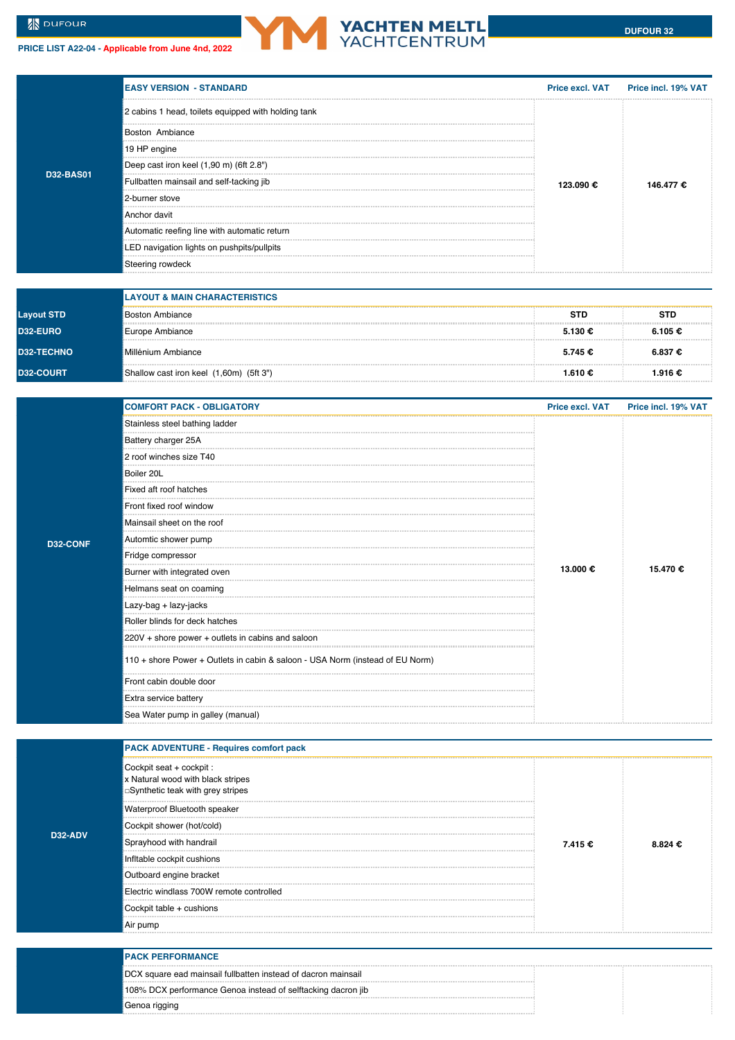**PRICE LIST A22-04 - Applicable from June 4nd, 2022**



|           | <b>EASY VERSION - STANDARD</b>                      |           | Price excl. VAT Price incl. 19% VAT |  |
|-----------|-----------------------------------------------------|-----------|-------------------------------------|--|
|           | 2 cabins 1 head, toilets equipped with holding tank |           |                                     |  |
|           | Boston Ambiance                                     |           |                                     |  |
|           | 19 HP engine                                        |           |                                     |  |
|           | Deep cast iron keel (1,90 m) (6ft 2.8")             | 123.090 € |                                     |  |
| D32-BAS01 | Fullbatten mainsail and self-tacking jib            |           |                                     |  |
|           | 2-burner stove                                      |           |                                     |  |
|           | Anchor davit                                        |           |                                     |  |
|           | Automatic reefing line with automatic return        |           |                                     |  |
|           | LED navigation lights on pushpits/pullpits          |           |                                     |  |
|           | Steering rowdeck                                    |           |                                     |  |

|                   | <b>LAYOUT &amp; MAIN CHARACTERISTICS</b> |            |            |  |
|-------------------|------------------------------------------|------------|------------|--|
| <b>Layout STD</b> | <b>Boston Ambiance</b>                   | <b>STD</b> | <b>STD</b> |  |
| <b>D32-EURO</b>   | Europe Ambiance                          | 5.130€     | 6.105 €    |  |
| <b>D32-TECHNO</b> | Millénium Ambiance                       | 5.745 €    | 6.837 €    |  |
| <b>D32-COURT</b>  | Shallow cast iron keel (1,60m) (5ft 3")  | 1.610€     | 1.916 €    |  |

|          | <b>COMFORT PACK - OBLIGATORY</b>                                              | <b>Price excl. VAT</b> | Price incl. 19% VAT |
|----------|-------------------------------------------------------------------------------|------------------------|---------------------|
|          | Stainless steel bathing ladder                                                |                        |                     |
|          | Battery charger 25A                                                           |                        |                     |
|          | 2 roof winches size T40                                                       |                        |                     |
|          | Boiler 20L                                                                    |                        |                     |
|          | Fixed aft roof hatches                                                        |                        |                     |
|          | Front fixed roof window                                                       |                        |                     |
|          | Mainsail sheet on the roof                                                    |                        |                     |
| D32-CONF | Automtic shower pump                                                          |                        |                     |
|          | Fridge compressor                                                             |                        |                     |
|          | Burner with integrated oven                                                   | 13.000 €               | 15.470€             |
|          | Helmans seat on coaming                                                       |                        |                     |
|          | :Lazy-bag + lazy-jacks                                                        |                        |                     |
|          | Roller blinds for deck hatches                                                |                        |                     |
|          | 220V + shore power + outlets in cabins and saloon                             |                        |                     |
|          | 110 + shore Power + Outlets in cabin & saloon - USA Norm (instead of EU Norm) |                        |                     |
|          | Front cabin double door                                                       |                        |                     |
|          | Extra service battery                                                         |                        |                     |
|          | Sea Water pump in galley (manual)                                             |                        |                     |

|                      | <b>PACK ADVENTURE - Requires comfort pack</b>                                                     |         |         |
|----------------------|---------------------------------------------------------------------------------------------------|---------|---------|
|                      | Cockpit seat + cockpit :<br>x Natural wood with black stripes<br>Synthetic teak with grey stripes |         |         |
|                      | Waterproof Bluetooth speaker                                                                      |         |         |
|                      | Cockpit shower (hot/cold)                                                                         |         |         |
| D <sub>32</sub> -ADV | Sprayhood with handrail                                                                           | 7.415 € | 8.824 € |
|                      | Infltable cockpit cushions                                                                        |         |         |
|                      | Outboard engine bracket                                                                           |         |         |
|                      | Electric windlass 700W remote controlled                                                          |         |         |
|                      | Cockpit table + cushions                                                                          |         |         |
|                      | : Air pump                                                                                        |         |         |

| <b>IPACK PERFORMANCE</b>                                      |  |  |
|---------------------------------------------------------------|--|--|
| DCX square ead mainsail fullbatten instead of dacron mainsail |  |  |
| 108% DCX performance Genoa instead of selftacking dacron jib  |  |  |
| Genoa rigging                                                 |  |  |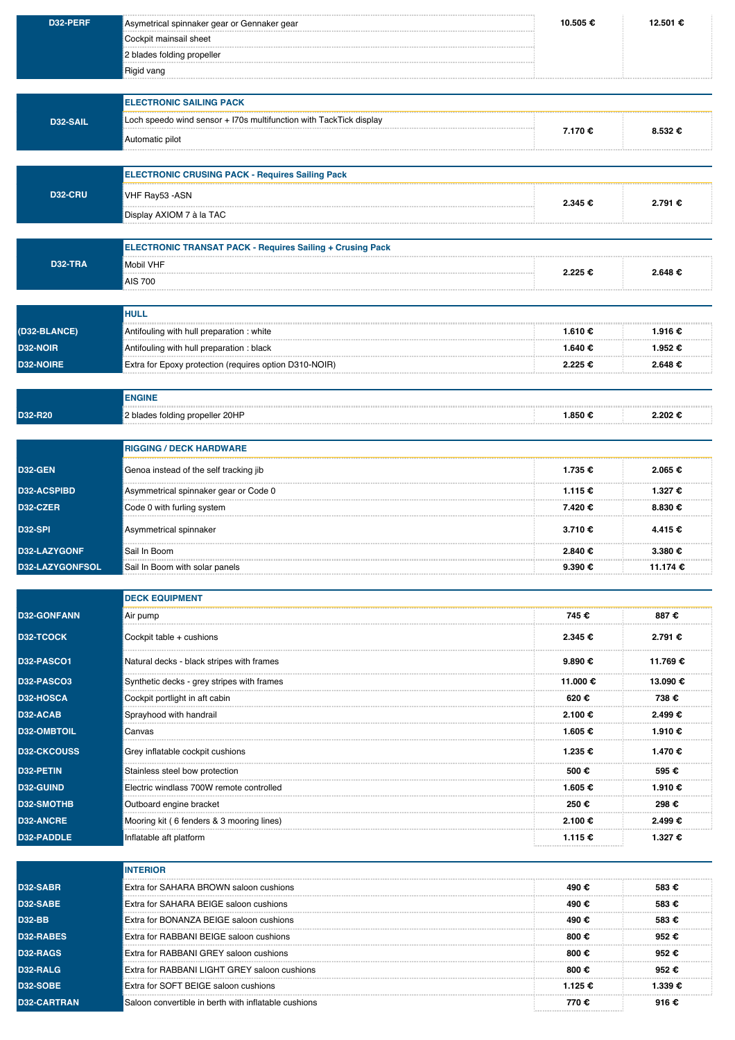| D32-PERF           | Asymetrical spinnaker gear or Gennaker gear                        | 10.505 €          | 12.501 €          |
|--------------------|--------------------------------------------------------------------|-------------------|-------------------|
|                    | Cockpit mainsail sheet                                             |                   |                   |
|                    | 2 blades folding propeller                                         |                   |                   |
|                    | Rigid vang                                                         |                   |                   |
|                    |                                                                    |                   |                   |
|                    | <b>ELECTRONIC SAILING PACK</b>                                     |                   |                   |
| D32-SAIL           | Loch speedo wind sensor + I70s multifunction with TackTick display | 7.170 €           | 8.532 €           |
|                    | Automatic pilot                                                    |                   |                   |
|                    |                                                                    |                   |                   |
|                    | <b>ELECTRONIC CRUSING PACK - Requires Sailing Pack</b>             |                   |                   |
| <b>D32-CRU</b>     | VHF Ray53 - ASN                                                    | 2.345 €           | 2.791 €           |
|                    | Display AXIOM 7 à la TAC                                           |                   |                   |
|                    | <b>ELECTRONIC TRANSAT PACK - Requires Sailing + Crusing Pack</b>   |                   |                   |
| <b>D32-TRA</b>     | <b>Mobil VHF</b>                                                   |                   |                   |
|                    | <b>AIS 700</b>                                                     | 2.225€            | 2.648€            |
|                    |                                                                    |                   |                   |
|                    | <b>HULL</b>                                                        |                   |                   |
| (D32-BLANCE)       | Antifouling with hull preparation : white                          | 1.610€            | 1.916 €           |
| D32-NOIR           | Antifouling with hull preparation : black                          | 1.640€            | 1.952 €           |
| D32-NOIRE          | Extra for Epoxy protection (requires option D310-NOIR)             | 2.225 €           | 2.648€            |
|                    |                                                                    |                   |                   |
|                    | <b>ENGINE</b>                                                      |                   |                   |
| D32-R20            | 2 blades folding propeller 20HP                                    | 1.850 €           | 2.202€            |
|                    |                                                                    |                   |                   |
|                    | <b>RIGGING / DECK HARDWARE</b>                                     |                   |                   |
| D32-GEN            | Genoa instead of the self tracking jib                             | 1.735 €           | 2.065 €           |
| D32-ACSPIBD        | Asymmetrical spinnaker gear or Code 0                              | 1.115 €           | 1.327 €           |
| D32-CZER           | Code 0 with furling system                                         | 7.420 €           | $8.830 \text{ €}$ |
| <b>D32-SPI</b>     | Asymmetrical spinnaker                                             | 3.710€            | 4.415 €           |
| D32-LAZYGONF       | Sail In Boom                                                       | $2.840 \text{ }€$ | 3.380 €           |
| D32-LAZYGONFSOL    | Sail In Boom with solar panels                                     | 9.390 €           | 11.174 €          |
|                    |                                                                    |                   |                   |
|                    | <b>DECK EQUIPMENT</b>                                              |                   |                   |
| <b>D32-GONFANN</b> | Air pump                                                           | 745 €             | 887€              |
| D32-TCOCK          | Cockpit table + cushions                                           | 2.345 €           | 2.791 €           |
| D32-PASCO1         | Natural decks - black stripes with frames                          | 9.890€            | 11.769 €          |
| D32-PASCO3         | Synthetic decks - grey stripes with frames                         | 11.000 €          | 13.090 €          |
| D32-HOSCA          | Cockpit portlight in aft cabin                                     | 620€              | 738€              |
| D32-ACAB           | Sprayhood with handrail                                            | 2.100€            | 2.499€            |
| D32-OMBTOIL        | Canvas                                                             | 1.605 €           | 1.910 €           |
| <b>D32-CKCOUSS</b> | Grey inflatable cockpit cushions                                   | 1.235 €           | 1.470€            |
| D32-PETIN          | Stainless steel bow protection                                     | 500€              | 595€              |
| D32-GUIND          | Electric windlass 700W remote controlled                           | 1.605 €           | 1.910€            |
| D32-SMOTHB         | Outboard engine bracket                                            | 250€              | 298€              |
| <b>D32-ANCRE</b>   | Mooring kit (6 fenders & 3 mooring lines)                          | 2.100 €           | 2.499€            |
| D32-PADDLE         | Inflatable aft platform                                            | 1.115 €           | 1.327 €           |
|                    |                                                                    |                   |                   |
|                    | <b>INTERIOR</b>                                                    |                   |                   |
| D32-SABR           | Extra for SAHARA BROWN saloon cushions                             | 490€              | 583€              |
| D32-SABE           | Extra for SAHARA BEIGE saloon cushions                             | 490€              | 583€              |
| <b>D32-BB</b>      | Extra for BONANZA BEIGE saloon cushions                            | 490€              | 583€              |
| D32-RABES          | Extra for RABBANI BEIGE saloon cushions                            | 800 $\epsilon$    | 952€              |
| D32-RAGS           | Extra for RABBANI GREY saloon cushions                             | 800€              | 952€              |
| D32-RALG           | Extra for RABBANI LIGHT GREY saloon cushions                       | 800 $\epsilon$    | 952€              |
| <b>D32-SOBE</b>    | Extra for SOFT BEIGE saloon cushions                               | 1.125 €           | 1.339 €           |
| D32-CARTRAN        | Saloon convertible in berth with inflatable cushions               | 770€              | 916€              |